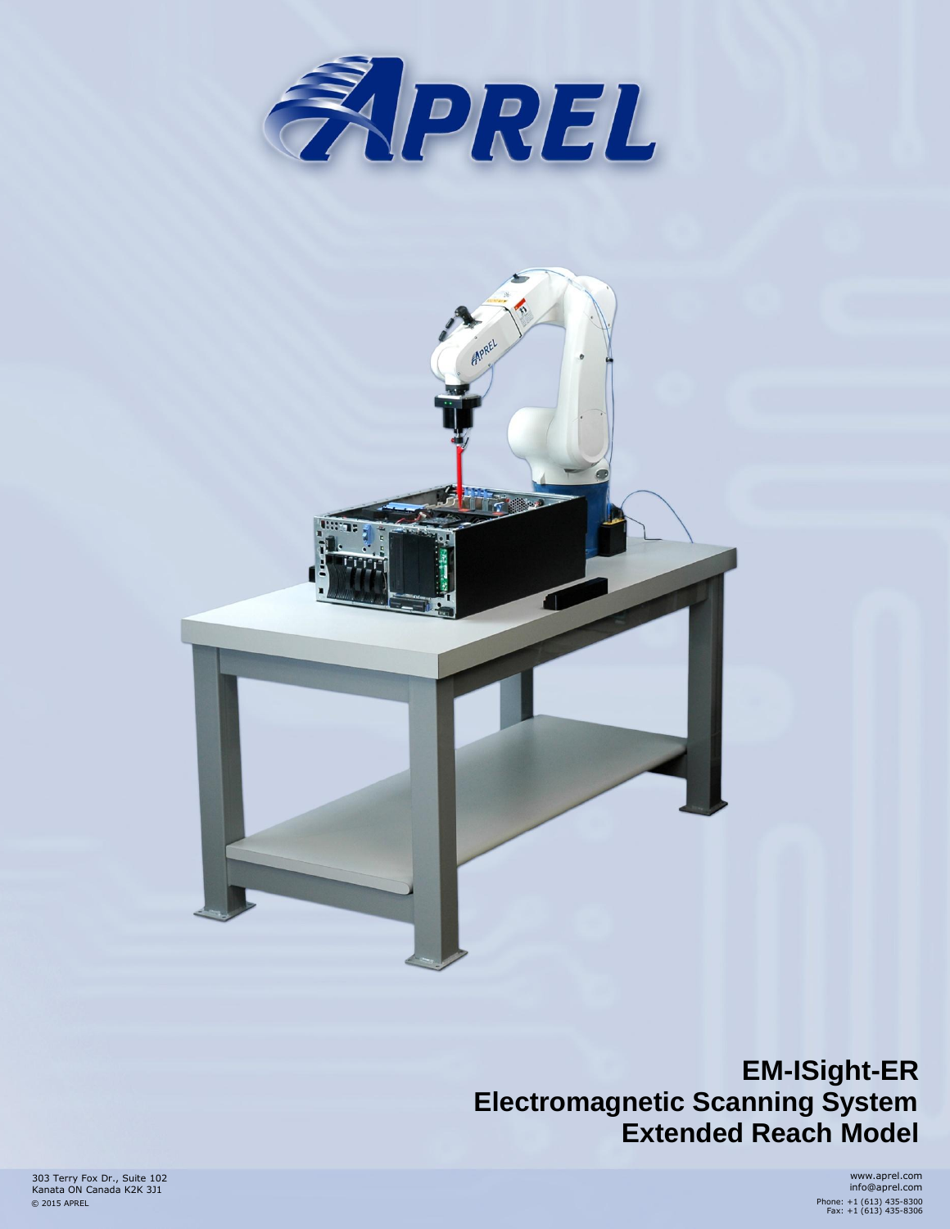



**EM-ISight-ER Electromagnetic Scanning System Extended Reach Model**

303 Terry Fox Dr., Suite 102 Kanata ON Canada K2K 3J1 © 2015 APREL

www.aprel.com info@aprel.com Phone: +1 (613) 435-8300 Fax: +1 (613) 435-8306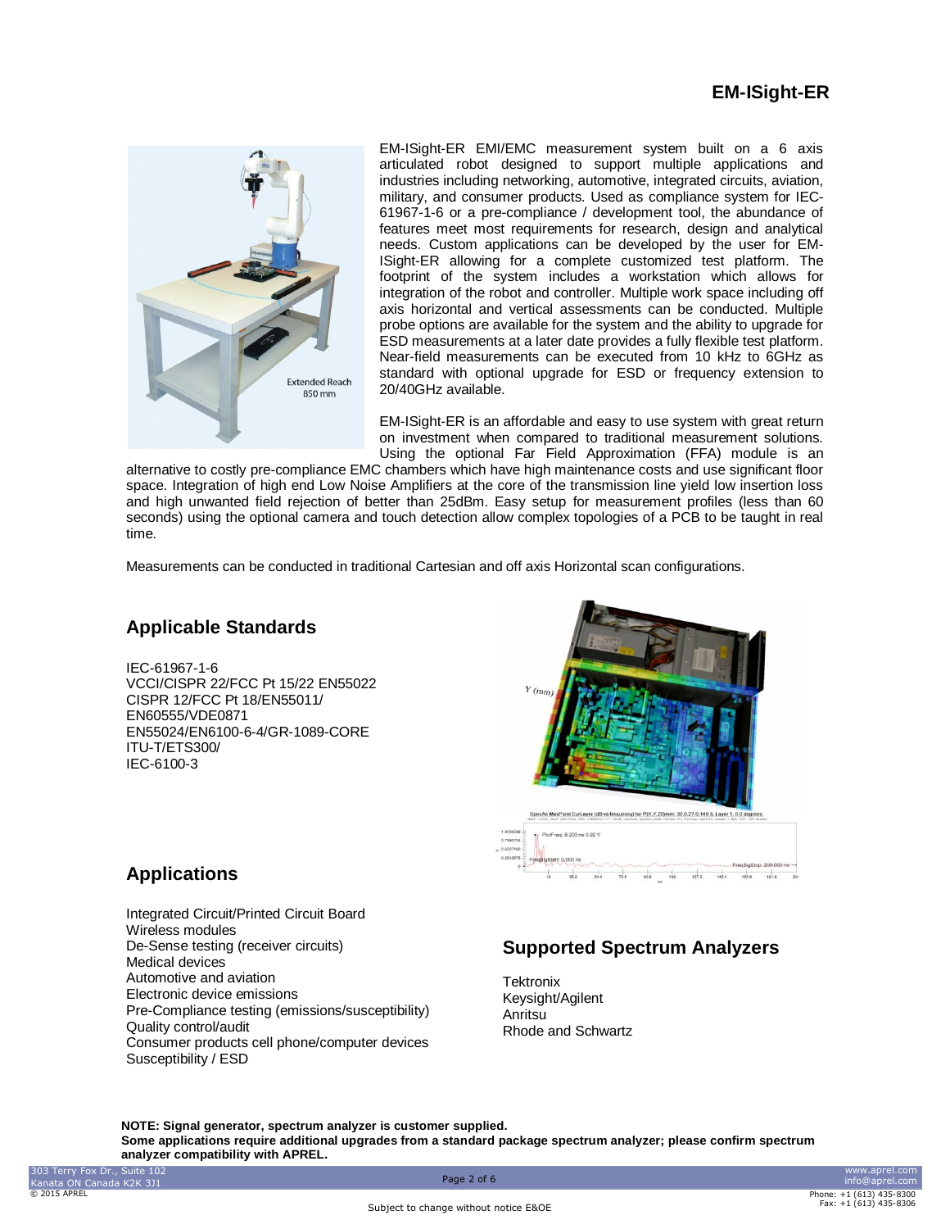

EM-ISight-ER EMI/EMC measurement system built on a 6 axis articulated robot designed to support multiple applications and industries including networking, automotive, integrated circuits, aviation, military, and consumer products. Used as compliance system for IEC-61967-1-6 or a pre-compliance / development tool, the abundance of features meet most requirements for research, design and analytical needs. Custom applications can be developed by the user for EM-ISight-ER allowing for a complete customized test platform. The footprint of the system includes a workstation which allows for integration of the robot and controller. Multiple work space including off axis horizontal and vertical assessments can be conducted. Multiple probe options are available for the system and the ability to upgrade for ESD measurements at a later date provides a fully flexible test platform. Near-field measurements can be executed from 10 kHz to 6GHz as standard with optional upgrade for ESD or frequency extension to 20/40GHz available.

EM-ISight-ER is an affordable and easy to use system with great return on investment when compared to traditional measurement solutions. Using the optional Far Field Approximation (FFA) module is an

alternative to costly pre-compliance EMC chambers which have high maintenance costs and use significant floor space. Integration of high end Low Noise Amplifiers at the core of the transmission line yield low insertion loss and high unwanted field rejection of better than 25dBm. Easy setup for measurement profiles (less than 60 seconds) using the optional camera and touch detection allow complex topologies of a PCB to be taught in real time.

Measurements can be conducted in traditional Cartesian and off axis Horizontal scan configurations.

### **Applicable Standards**

IEC-61967-1-6 VCCI/CISPR 22/FCC Pt 15/22 EN55022 CISPR 12/FCC Pt 18/EN55011/ EN60555/VDE0871 EN55024/EN6100-6-4/GR-1089-CORE ITU-T/ETS300/ IEC-6100-3



### **Applications**

Integrated Circuit/Printed Circuit Board Wireless modules De-Sense testing (receiver circuits) Medical devices Automotive and aviation Electronic device emissions Pre-Compliance testing (emissions/susceptibility) Quality control/audit Consumer products cell phone/computer devices Susceptibility / ESD

## **Supported Spectrum Analyzers**

**Tektronix** Keysight/Agilent Anritsu Rhode and Schwartz

**NOTE: Signal generator, spectrum analyzer is customer supplied. Some applications require additional upgrades from a standard package spectrum analyzer; please confirm spectrum analyzer compatibility with APREL.**

Subject to change without notice E&OE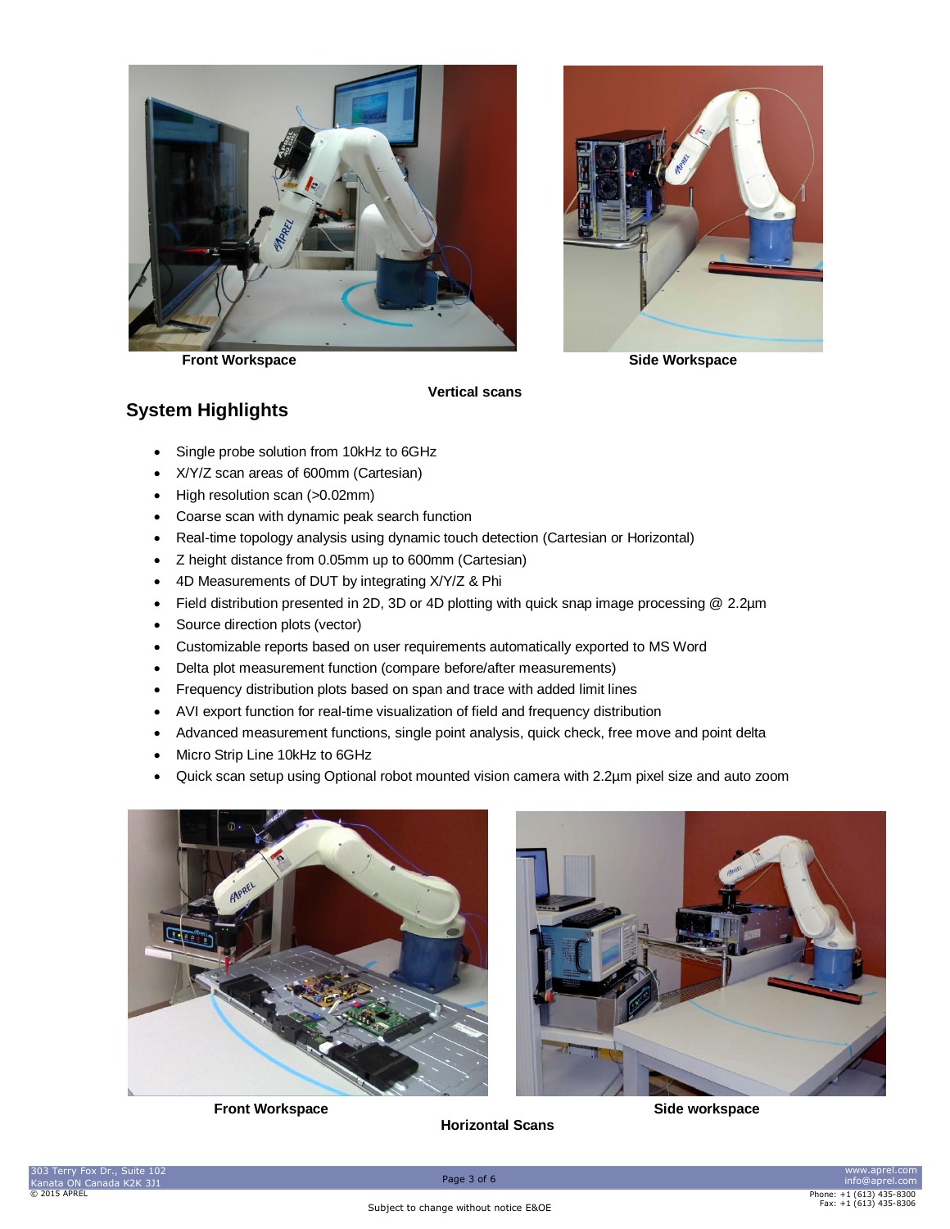



**Front Workspace Side Workspace** 

### **System Highlights**

**Vertical scans**

- Single probe solution from 10kHz to 6GHz
- X/Y/Z scan areas of 600mm (Cartesian)
- High resolution scan (>0.02mm)
- Coarse scan with dynamic peak search function
- Real-time topology analysis using dynamic touch detection (Cartesian or Horizontal)
- Z height distance from 0.05mm up to 600mm (Cartesian)
- 4D Measurements of DUT by integrating X/Y/Z & Phi
- Field distribution presented in 2D, 3D or 4D plotting with quick snap image processing @ 2.2µm
- Source direction plots (vector)
- Customizable reports based on user requirements automatically exported to MS Word
- Delta plot measurement function (compare before/after measurements)
- Frequency distribution plots based on span and trace with added limit lines
- AVI export function for real-time visualization of field and frequency distribution
- Advanced measurement functions, single point analysis, quick check, free move and point delta
- Micro Strip Line 10kHz to 6GHz
- Quick scan setup using Optional robot mounted vision camera with 2.2µm pixel size and auto zoom





**Horizontal Scans**

**Front Workspace Side workspace**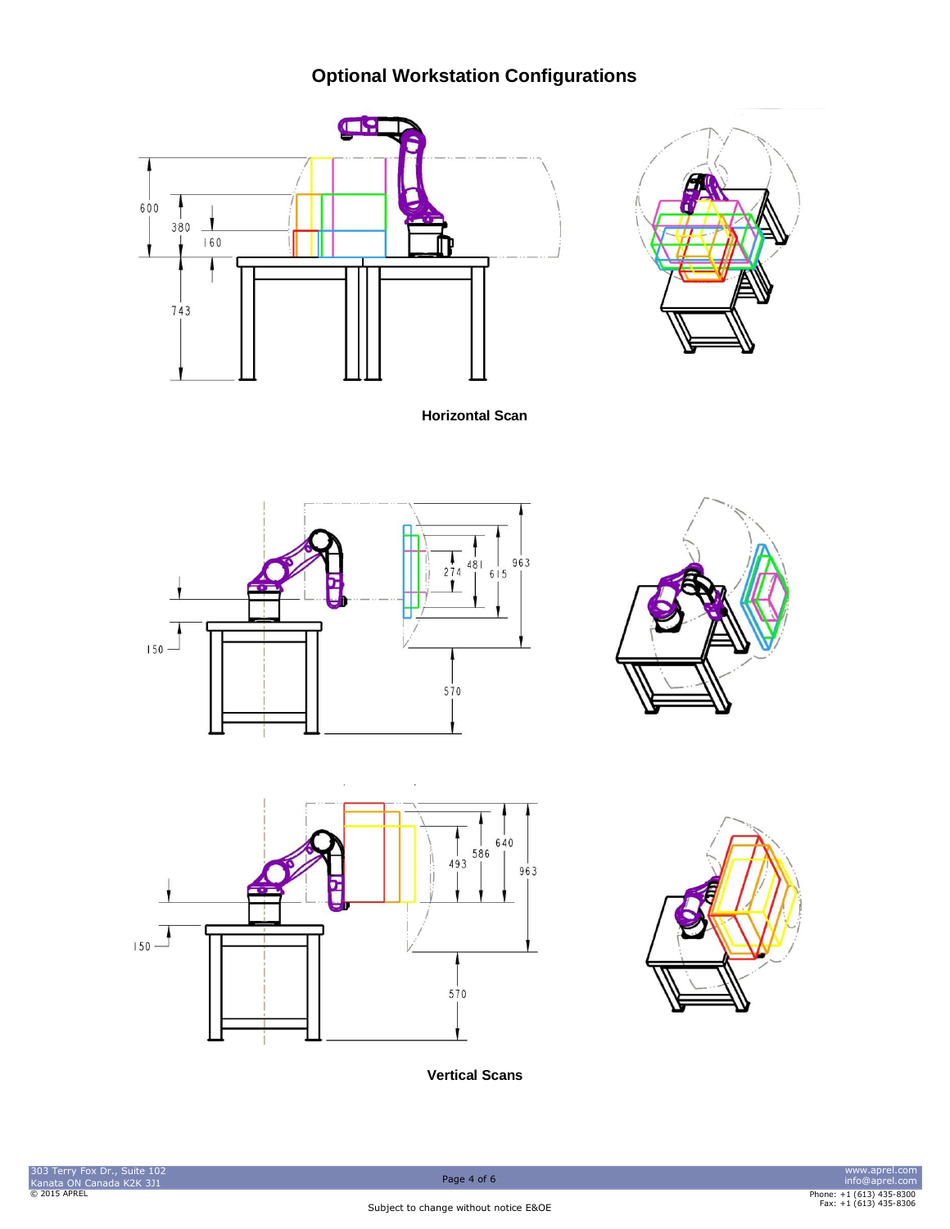# **Optional Workstation Configurations**





**Horizontal Scan**







**Vertical Scans**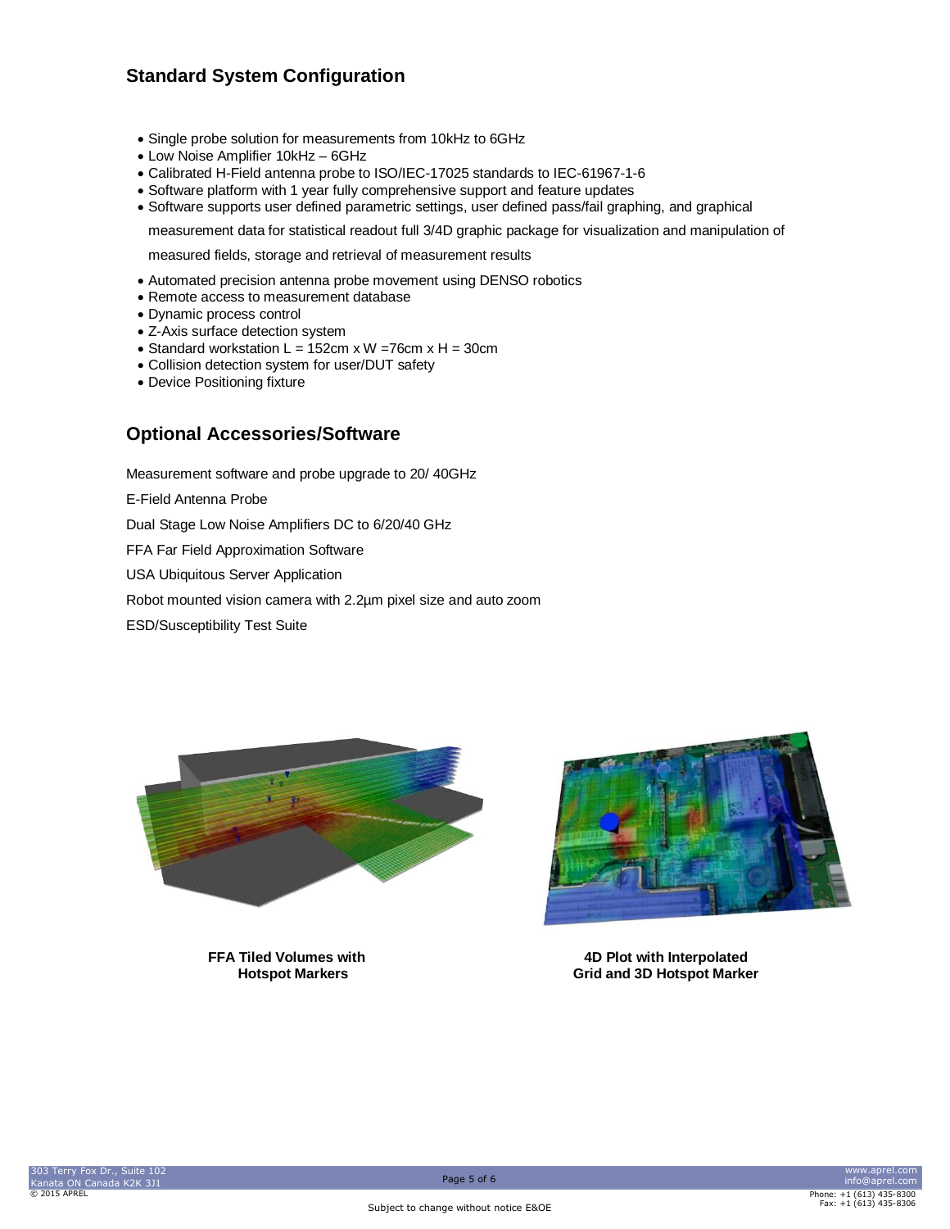## **Standard System Configuration**

- Single probe solution for measurements from 10kHz to 6GHz
- Low Noise Amplifier 10kHz 6GHz
- Calibrated H-Field antenna probe to ISO/IEC-17025 standards to IEC-61967-1-6
- Software platform with 1 year fully comprehensive support and feature updates
- Software supports user defined parametric settings, user defined pass/fail graphing, and graphical

measurement data for statistical readout full 3/4D graphic package for visualization and manipulation of

measured fields, storage and retrieval of measurement results

- Automated precision antenna probe movement using DENSO robotics
- Remote access to measurement database
- Dynamic process control
- Z-Axis surface detection system
- Standard workstation  $L = 152$ cm x W =76cm x H = 30cm
- Collision detection system for user/DUT safety
- Device Positioning fixture

#### **Optional Accessories/Software**

Measurement software and probe upgrade to 20/ 40GHz

E-Field Antenna Probe

Dual Stage Low Noise Amplifiers DC to 6/20/40 GHz

FFA Far Field Approximation Software

USA Ubiquitous Server Application

Robot mounted vision camera with 2.2µm pixel size and auto zoom

ESD/Susceptibility Test Suite





**FFA Tiled Volumes with 4D Plot with Interpolated Hotspot Markers Grid and 3D Hotspot Marker**